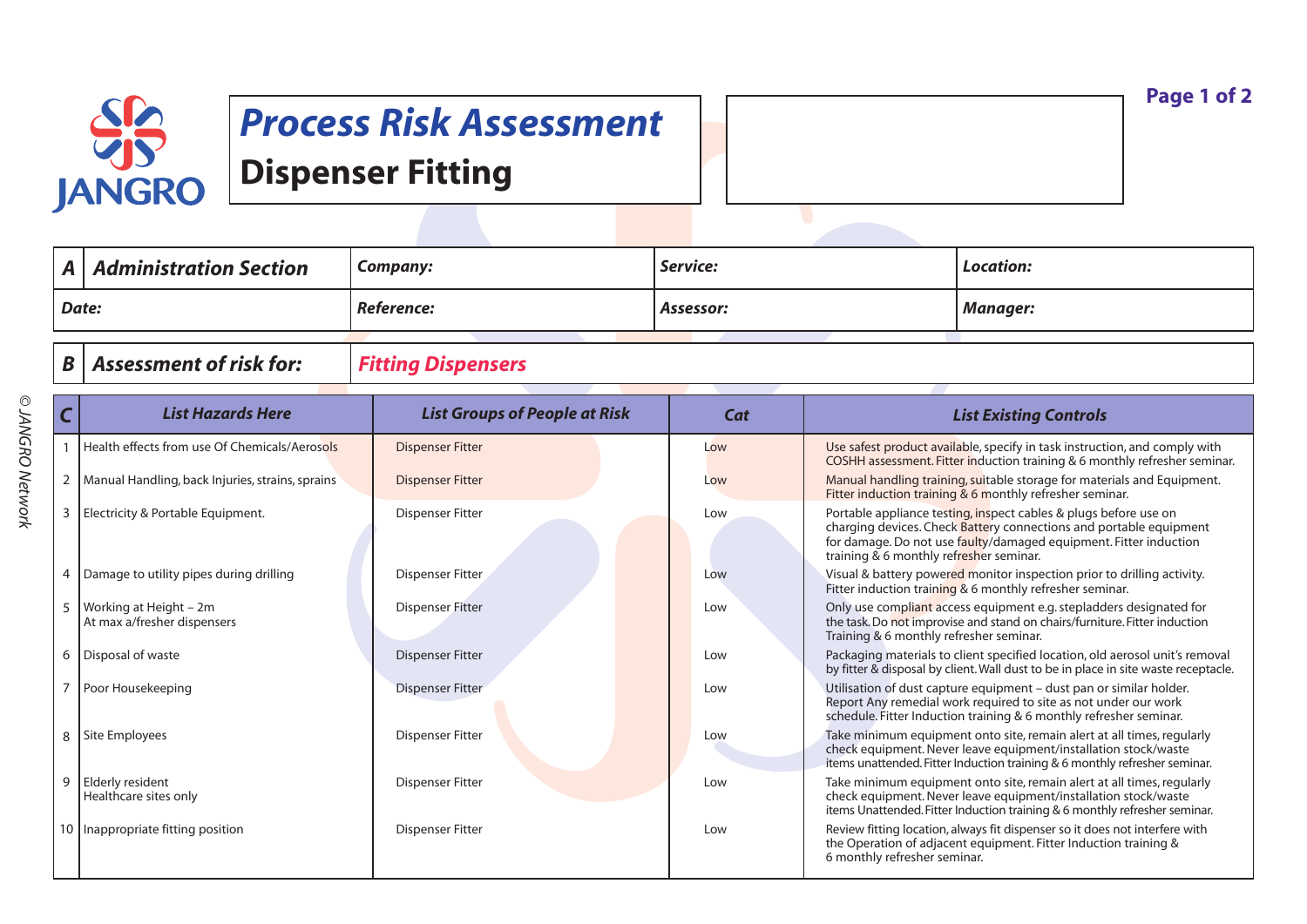

## *Process Risk Assessment* **Dispenser Fitting**

| $\blacksquare$ | $\mid$ Administration Section | Company:   | Service:  | Location: |
|----------------|-------------------------------|------------|-----------|-----------|
| Date:          |                               | Reference: | Assessor: | Manager:  |
|                |                               |            |           |           |

## *B Assessment of risk for: Fitting Dispensers*

|                | <b>List Hazards Here</b>                              | <b>List Groups of People at Risk</b> | Cat | <b>List Existing Controls</b>                                                                                                                                                                                                                          |
|----------------|-------------------------------------------------------|--------------------------------------|-----|--------------------------------------------------------------------------------------------------------------------------------------------------------------------------------------------------------------------------------------------------------|
|                | Health effects from use Of Chemicals/Aerosols         | <b>Dispenser Fitter</b>              | Low | Use safest product available, specify in task instruction, and comply with<br>COSHH assessment. Fitter induction training & 6 monthly refresher seminar.                                                                                               |
| $\overline{2}$ | Manual Handling, back Injuries, strains, sprains      | <b>Dispenser Fitter</b>              | Low | Manual handling training, suitable storage for materials and Equipment.<br>Fitter induction training & 6 monthly refresher seminar.                                                                                                                    |
|                | Electricity & Portable Equipment.                     | <b>Dispenser Fitter</b>              | Low | Portable appliance testing, inspect cables & plugs before use on<br>charging devices. Check Battery connections and portable equipment<br>for damage. Do not use faulty/damaged equipment. Fitter induction<br>training & 6 monthly refresher seminar. |
|                | Damage to utility pipes during drilling               | <b>Dispenser Fitter</b>              | Low | Visual & battery powered monitor inspection prior to drilling activity.<br>Fitter induction training & 6 monthly refresher seminar.                                                                                                                    |
|                | Working at Height – 2m<br>At max a/fresher dispensers | <b>Dispenser Fitter</b>              | Low | Only use compliant access equipment e.g. stepladders designated for<br>the task. Do not improvise and stand on chairs/furniture. Fitter induction<br>Training & 6 monthly refresher seminar.                                                           |
| 6              | Disposal of waste                                     | <b>Dispenser Fitter</b>              | Low | Packaging materials to client specified location, old aerosol unit's removal<br>by fitter & disposal by client. Wall dust to be in place in site waste receptacle.                                                                                     |
|                | Poor Housekeeping                                     | <b>Dispenser Fitter</b>              | Low | Utilisation of dust capture equipment - dust pan or similar holder.<br>Report Any remedial work required to site as not under our work<br>schedule. Fitter Induction training & 6 monthly refresher seminar.                                           |
| 8              | Site Employees                                        | <b>Dispenser Fitter</b>              | Low | Take minimum equipment onto site, remain alert at all times, regularly<br>check equipment. Never leave equipment/installation stock/waste<br>items unattended. Fitter Induction training & 6 monthly refresher seminar.                                |
| 9              | <b>Elderly resident</b><br>Healthcare sites only      | <b>Dispenser Fitter</b>              | Low | Take minimum equipment onto site, remain alert at all times, regularly<br>check equipment. Never leave equipment/installation stock/waste<br>items Unattended. Fitter Induction training & 6 monthly refresher seminar.                                |
|                | 10   Inappropriate fitting position                   | <b>Dispenser Fitter</b>              | Low | Review fitting location, always fit dispenser so it does not interfere with<br>the Operation of adjacent equipment. Fitter Induction training &<br>6 monthly refresher seminar.                                                                        |

**Page 1 of 2**